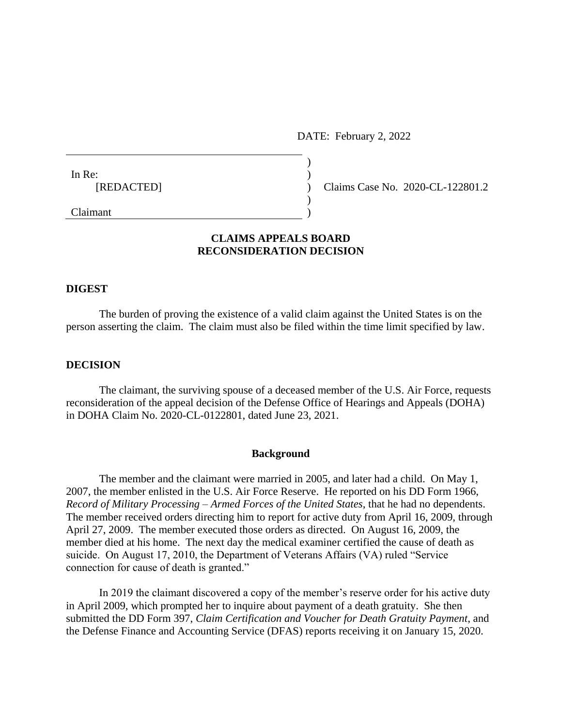DATE: February 2, 2022

| In Re:     |  |
|------------|--|
| [REDACTED] |  |
|            |  |
| Claimant   |  |

Claims Case No. 2020-CL-122801.2

# **CLAIMS APPEALS BOARD RECONSIDERATION DECISION**

### **DIGEST**

The burden of proving the existence of a valid claim against the United States is on the person asserting the claim. The claim must also be filed within the time limit specified by law.

## **DECISION**

The claimant, the surviving spouse of a deceased member of the U.S. Air Force, requests reconsideration of the appeal decision of the Defense Office of Hearings and Appeals (DOHA) in DOHA Claim No. 2020-CL-0122801, dated June 23, 2021.

### **Background**

The member and the claimant were married in 2005, and later had a child. On May 1, 2007, the member enlisted in the U.S. Air Force Reserve. He reported on his DD Form 1966, *Record of Military Processing – Armed Forces of the United States*, that he had no dependents. The member received orders directing him to report for active duty from April 16, 2009, through April 27, 2009. The member executed those orders as directed. On August 16, 2009, the member died at his home. The next day the medical examiner certified the cause of death as suicide. On August 17, 2010, the Department of Veterans Affairs (VA) ruled "Service connection for cause of death is granted."

In 2019 the claimant discovered a copy of the member's reserve order for his active duty in April 2009, which prompted her to inquire about payment of a death gratuity. She then submitted the DD Form 397, *Claim Certification and Voucher for Death Gratuity Payment*, and the Defense Finance and Accounting Service (DFAS) reports receiving it on January 15, 2020.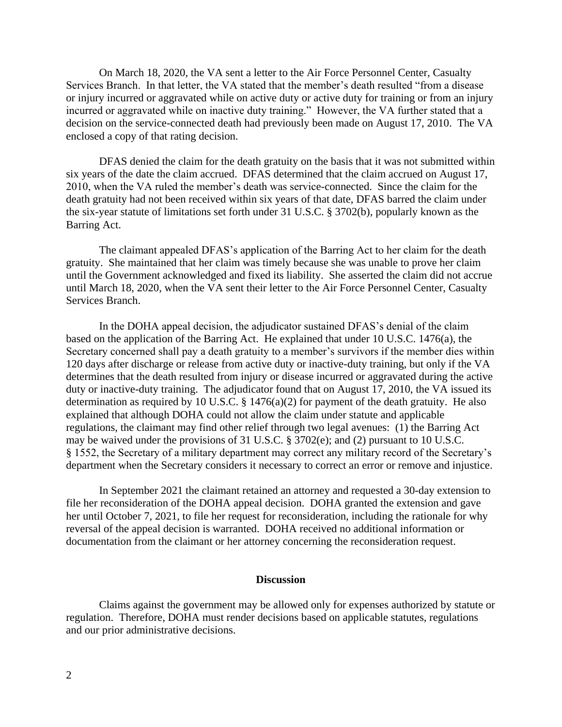On March 18, 2020, the VA sent a letter to the Air Force Personnel Center, Casualty Services Branch. In that letter, the VA stated that the member's death resulted "from a disease or injury incurred or aggravated while on active duty or active duty for training or from an injury incurred or aggravated while on inactive duty training." However, the VA further stated that a decision on the service-connected death had previously been made on August 17, 2010. The VA enclosed a copy of that rating decision.

DFAS denied the claim for the death gratuity on the basis that it was not submitted within six years of the date the claim accrued. DFAS determined that the claim accrued on August 17, 2010, when the VA ruled the member's death was service-connected. Since the claim for the death gratuity had not been received within six years of that date, DFAS barred the claim under the six-year statute of limitations set forth under 31 U.S.C. § 3702(b), popularly known as the Barring Act.

The claimant appealed DFAS's application of the Barring Act to her claim for the death gratuity. She maintained that her claim was timely because she was unable to prove her claim until the Government acknowledged and fixed its liability. She asserted the claim did not accrue until March 18, 2020, when the VA sent their letter to the Air Force Personnel Center, Casualty Services Branch.

In the DOHA appeal decision, the adjudicator sustained DFAS's denial of the claim based on the application of the Barring Act. He explained that under 10 U.S.C. 1476(a), the Secretary concerned shall pay a death gratuity to a member's survivors if the member dies within 120 days after discharge or release from active duty or inactive-duty training, but only if the VA determines that the death resulted from injury or disease incurred or aggravated during the active duty or inactive-duty training. The adjudicator found that on August 17, 2010, the VA issued its determination as required by 10 U.S.C. § 1476(a)(2) for payment of the death gratuity. He also explained that although DOHA could not allow the claim under statute and applicable regulations, the claimant may find other relief through two legal avenues: (1) the Barring Act may be waived under the provisions of 31 U.S.C. § 3702(e); and (2) pursuant to 10 U.S.C. § 1552, the Secretary of a military department may correct any military record of the Secretary's department when the Secretary considers it necessary to correct an error or remove and injustice.

In September 2021 the claimant retained an attorney and requested a 30-day extension to file her reconsideration of the DOHA appeal decision. DOHA granted the extension and gave her until October 7, 2021, to file her request for reconsideration, including the rationale for why reversal of the appeal decision is warranted. DOHA received no additional information or documentation from the claimant or her attorney concerning the reconsideration request.

#### **Discussion**

Claims against the government may be allowed only for expenses authorized by statute or regulation. Therefore, DOHA must render decisions based on applicable statutes, regulations and our prior administrative decisions.